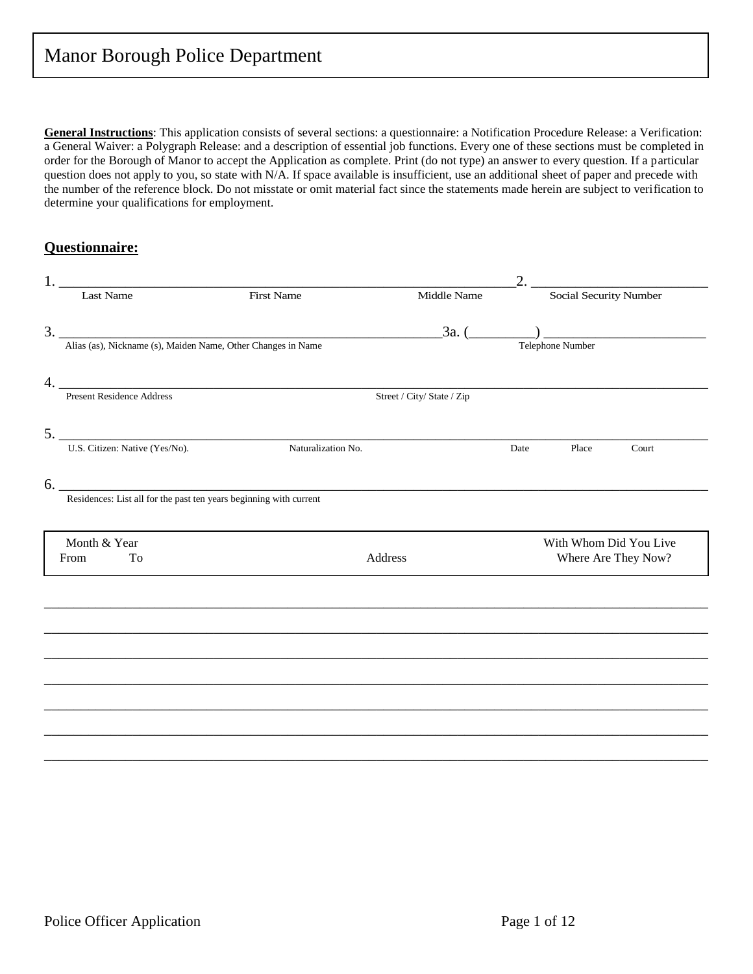**General Instructions**: This application consists of several sections: a questionnaire: a Notification Procedure Release: a Verification: a General Waiver: a Polygraph Release: and a description of essential job functions. Every one of these sections must be completed in order for the Borough of Manor to accept the Application as complete. Print (do not type) an answer to every question. If a particular question does not apply to you, so state with N/A. If space available is insufficient, use an additional sheet of paper and precede with the number of the reference block. Do not misstate or omit material fact since the statements made herein are subject to verification to determine your qualifications for employment.

### **Questionnaire:**

|                                                              |                                                                                   |                            | 2.   |                        |                     |
|--------------------------------------------------------------|-----------------------------------------------------------------------------------|----------------------------|------|------------------------|---------------------|
| Last Name                                                    | <b>First Name</b>                                                                 | Middle Name                |      | Social Security Number |                     |
|                                                              |                                                                                   |                            |      |                        |                     |
| Alias (as), Nickname (s), Maiden Name, Other Changes in Name |                                                                                   |                            |      | Telephone Number       |                     |
|                                                              | 4. Present Residence Address                                                      |                            |      |                        |                     |
|                                                              |                                                                                   | Street / City/ State / Zip |      |                        |                     |
|                                                              | 5. U.S. Citizen: Native (Yes/No). Naturalization No.                              |                            |      |                        |                     |
|                                                              | Naturalization No.                                                                |                            | Date | Place                  | Court               |
|                                                              |                                                                                   |                            |      |                        |                     |
|                                                              | 6. Residences: List all for the past ten years beginning with current             |                            |      |                        |                     |
| Month & Year                                                 |                                                                                   |                            |      |                        |                     |
| To<br>From                                                   | Address                                                                           |                            |      | With Whom Did You Live | Where Are They Now? |
|                                                              |                                                                                   |                            |      |                        |                     |
|                                                              |                                                                                   |                            |      |                        |                     |
|                                                              | ,我们也不能会在这里的时候,我们也不能会在这里,我们也不能会在这里,我们也不能会在这里,我们也不能会在这里,我们也不能会在这里,我们也不能会不能会不能会。""我们 |                            |      |                        |                     |
|                                                              |                                                                                   |                            |      |                        |                     |
|                                                              |                                                                                   |                            |      |                        |                     |
|                                                              |                                                                                   |                            |      |                        |                     |
|                                                              |                                                                                   |                            |      |                        |                     |
|                                                              |                                                                                   |                            |      |                        |                     |
|                                                              |                                                                                   |                            |      |                        |                     |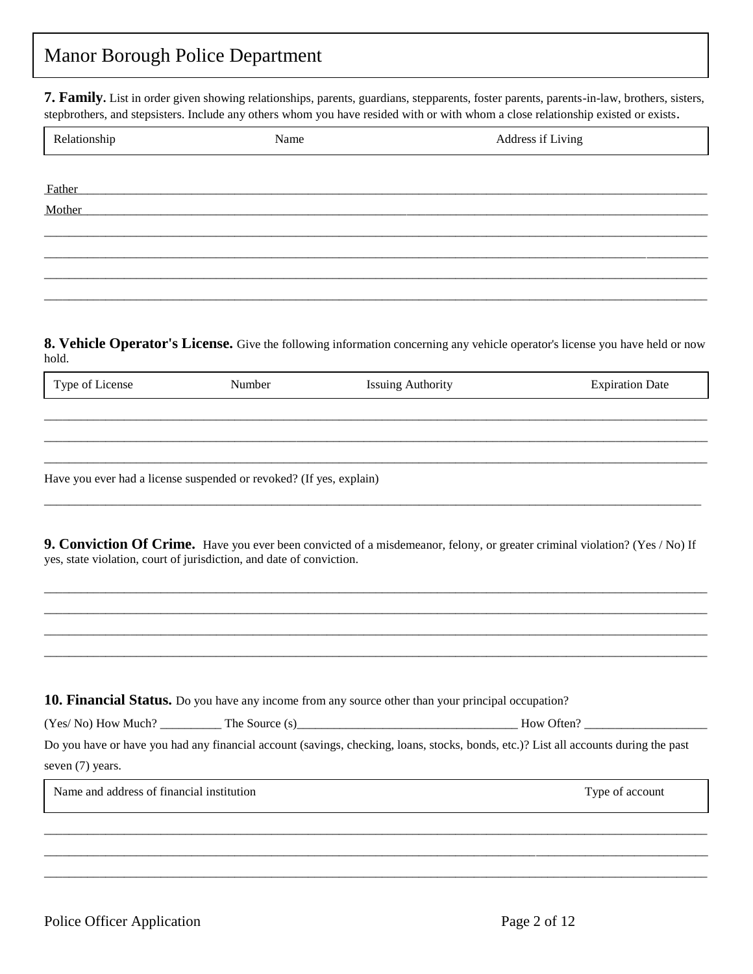**7. Family.** List in order given showing relationships, parents, guardians, stepparents, foster parents, parents-in-law, brothers, sisters, stepbrothers, and stepsisters. Include any others whom you have resided with or with whom a close relationship existed or exists.

| Relationship | Name | Address if Living |
|--------------|------|-------------------|
|              |      |                   |
| Father       |      |                   |
| Mother       |      |                   |
|              |      |                   |
|              |      |                   |
|              |      |                   |
|              |      |                   |

**8. Vehicle Operator's License.** Give the following information concerning any vehicle operator's license you have held or now hold.

| <u>тг</u><br>$\alpha$ nco<br>∼<br>.<br>. . | .nne | Jate |
|--------------------------------------------|------|------|
|                                            |      |      |

\_\_\_\_\_\_\_\_\_\_\_\_\_\_\_\_\_\_\_\_\_\_\_\_\_\_\_\_\_\_\_\_\_\_\_\_\_\_\_\_\_\_\_\_\_\_\_\_\_\_\_\_\_\_\_\_\_\_\_\_\_\_\_\_\_\_\_\_\_\_\_\_\_\_\_\_\_\_\_\_\_\_\_\_\_\_\_\_\_\_\_\_\_\_\_\_\_\_\_\_\_\_\_\_\_\_\_\_ \_\_\_\_\_\_\_\_\_\_\_\_\_\_\_\_\_\_\_\_\_\_\_\_\_\_\_\_\_\_\_\_\_\_\_\_\_\_\_\_\_\_\_\_\_\_\_\_\_\_\_\_\_\_\_\_\_\_\_\_\_\_\_\_\_\_\_\_\_\_\_\_\_\_\_\_\_\_\_\_\_\_\_\_\_\_\_\_\_\_\_\_\_\_\_\_\_\_\_\_\_\_\_\_\_\_\_\_ \_\_\_\_\_\_\_\_\_\_\_\_\_\_\_\_\_\_\_\_\_\_\_\_\_\_\_\_\_\_\_\_\_\_\_\_\_\_\_\_\_\_\_\_\_\_\_\_\_\_\_\_\_\_\_\_\_\_\_\_\_\_\_\_\_\_\_\_\_\_\_\_\_\_\_\_\_\_\_\_\_\_\_\_\_\_\_\_\_\_\_\_\_\_\_\_\_\_\_\_\_\_\_\_\_\_\_\_

Have you ever had a license suspended or revoked? (If yes, explain)

**9. Conviction Of Crime.** Have you ever been convicted of a misdemeanor, felony, or greater criminal violation? (Yes / No) If yes, state violation, court of jurisdiction, and date of conviction.

\_\_\_\_\_\_\_\_\_\_\_\_\_\_\_\_\_\_\_\_\_\_\_\_\_\_\_\_\_\_\_\_\_\_\_\_\_\_\_\_\_\_\_\_\_\_\_\_\_\_\_\_\_\_\_\_\_\_\_\_\_\_\_\_\_\_\_\_\_\_\_\_\_\_\_\_\_\_\_\_\_\_\_\_\_\_\_\_\_\_\_\_\_\_\_\_\_\_\_\_\_\_\_\_\_\_\_\_ \_\_\_\_\_\_\_\_\_\_\_\_\_\_\_\_\_\_\_\_\_\_\_\_\_\_\_\_\_\_\_\_\_\_\_\_\_\_\_\_\_\_\_\_\_\_\_\_\_\_\_\_\_\_\_\_\_\_\_\_\_\_\_\_\_\_\_\_\_\_\_\_\_\_\_\_\_\_\_\_\_\_\_\_\_\_\_\_\_\_\_\_\_\_\_\_\_\_\_\_\_\_\_\_\_\_\_\_ \_\_\_\_\_\_\_\_\_\_\_\_\_\_\_\_\_\_\_\_\_\_\_\_\_\_\_\_\_\_\_\_\_\_\_\_\_\_\_\_\_\_\_\_\_\_\_\_\_\_\_\_\_\_\_\_\_\_\_\_\_\_\_\_\_\_\_\_\_\_\_\_\_\_\_\_\_\_\_\_\_\_\_\_\_\_\_\_\_\_\_\_\_\_\_\_\_\_\_\_\_\_\_\_\_\_\_\_ \_\_\_\_\_\_\_\_\_\_\_\_\_\_\_\_\_\_\_\_\_\_\_\_\_\_\_\_\_\_\_\_\_\_\_\_\_\_\_\_\_\_\_\_\_\_\_\_\_\_\_\_\_\_\_\_\_\_\_\_\_\_\_\_\_\_\_\_\_\_\_\_\_\_\_\_\_\_\_\_\_\_\_\_\_\_\_\_\_\_\_\_\_\_\_\_\_\_\_\_\_\_\_\_\_\_\_\_

\_\_\_\_\_\_\_\_\_\_\_\_\_\_\_\_\_\_\_\_\_\_\_\_\_\_\_\_\_\_\_\_\_\_\_\_\_\_\_\_\_\_\_\_\_\_\_\_\_\_\_\_\_\_\_\_\_\_\_\_\_\_\_\_\_\_\_\_\_\_\_\_\_\_\_\_\_\_\_\_\_\_\_\_\_\_\_\_\_\_\_\_\_\_\_\_\_\_\_\_\_\_\_\_\_\_\_

| <b>10. Financial Status.</b> Do you have any income from any source other than your principal occupation?                            |                |            |  |  |
|--------------------------------------------------------------------------------------------------------------------------------------|----------------|------------|--|--|
| (Yes/No) How Much?                                                                                                                   | The Source (s) | How Often? |  |  |
| Do you have or have you had any financial account (savings, checking, loans, stocks, bonds, etc.)? List all accounts during the past |                |            |  |  |

\_\_\_\_\_\_\_\_\_\_\_\_\_\_\_\_\_\_\_\_\_\_\_\_\_\_\_\_\_\_\_\_\_\_\_\_\_\_\_\_\_\_\_\_\_\_\_\_\_\_\_\_\_\_\_\_\_\_\_\_\_\_\_\_\_\_\_\_\_\_\_\_\_\_\_\_\_\_\_\_\_\_\_\_\_\_\_\_\_\_\_\_\_\_\_\_\_\_\_\_\_\_\_\_\_\_\_\_ \_\_\_\_\_\_\_\_\_\_\_\_\_\_\_\_\_\_\_\_\_\_\_\_\_\_\_\_\_\_\_\_\_\_\_\_\_\_\_\_\_\_\_\_\_\_\_\_\_\_\_\_\_\_\_\_\_\_\_\_\_\_\_\_\_\_\_\_\_\_\_\_\_\_\_\_\_\_\_\_\_\_\_\_\_\_\_\_\_\_\_\_\_\_\_\_\_\_\_\_\_\_\_\_\_\_\_\_ \_\_\_\_\_\_\_\_\_\_\_\_\_\_\_\_\_\_\_\_\_\_\_\_\_\_\_\_\_\_\_\_\_\_\_\_\_\_\_\_\_\_\_\_\_\_\_\_\_\_\_\_\_\_\_\_\_\_\_\_\_\_\_\_\_\_\_\_\_\_\_\_\_\_\_\_\_\_\_\_\_\_\_\_\_\_\_\_\_\_\_\_\_\_\_\_\_\_\_\_\_\_\_\_\_\_\_\_

seven (7) years.

Name and address of financial institution Type of account Type of account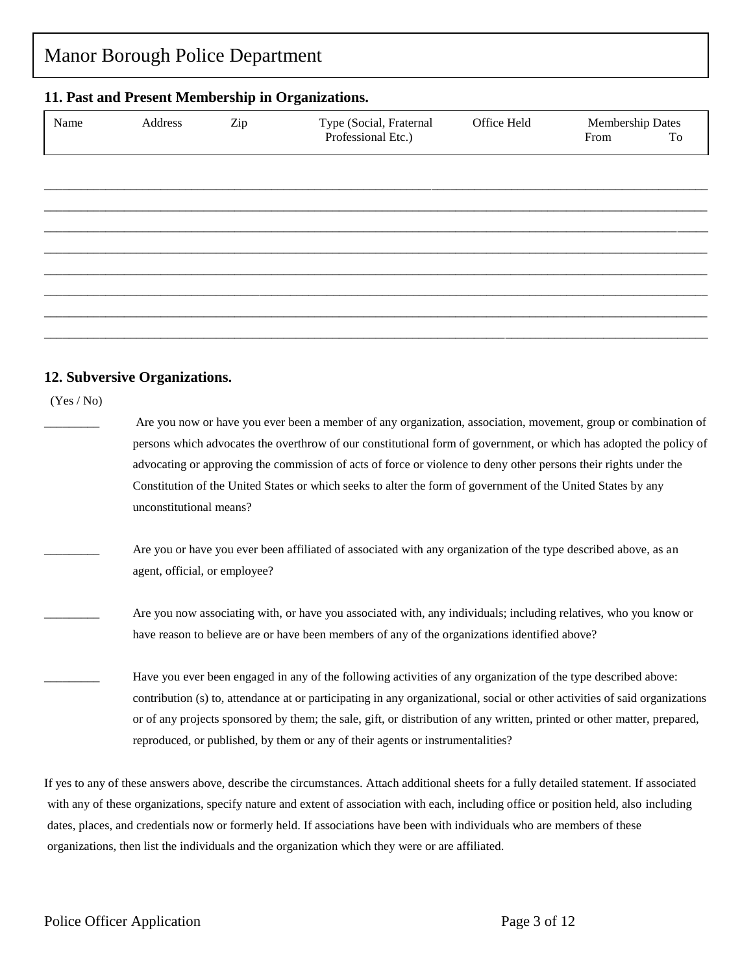# Manor Borough Police Department **11. Past and Present Membership in Organizations.** \_\_\_\_\_\_\_\_\_\_\_\_\_\_\_\_\_\_\_\_\_\_\_\_\_\_\_\_\_\_\_\_\_\_\_\_\_\_\_\_\_\_\_\_\_\_\_\_\_\_\_\_\_\_\_\_\_\_\_\_\_\_\_\_\_\_\_\_\_\_\_\_\_\_\_\_\_\_\_\_\_\_\_\_\_\_\_\_\_\_\_\_\_\_\_\_\_\_\_\_\_\_\_\_\_\_\_\_ \_\_\_\_\_\_\_\_\_\_\_\_\_\_\_\_\_\_\_\_\_\_\_\_\_\_\_\_\_\_\_\_\_\_\_\_\_\_\_\_\_\_\_\_\_\_\_\_\_\_\_\_\_\_\_\_\_\_\_\_\_\_\_\_\_\_\_\_\_\_\_\_\_\_\_\_\_\_\_\_\_\_\_\_\_\_\_\_\_\_\_\_\_\_\_\_\_\_\_\_\_\_\_\_\_\_\_\_ \_\_\_\_\_\_\_\_\_\_\_\_\_\_\_\_\_\_\_\_\_\_\_\_\_\_\_\_\_\_\_\_\_\_\_\_\_\_\_\_\_\_\_\_\_\_\_\_\_\_\_\_\_\_\_\_\_\_\_\_\_\_\_\_\_\_\_\_\_\_\_\_\_\_\_\_\_\_\_\_\_\_\_\_\_\_\_\_\_\_\_\_\_\_\_\_\_\_\_\_\_\_\_\_\_\_\_\_ \_\_\_\_\_\_\_\_\_\_\_\_\_\_\_\_\_\_\_\_\_\_\_\_\_\_\_\_\_\_\_\_\_\_\_\_\_\_\_\_\_\_\_\_\_\_\_\_\_\_\_\_\_\_\_\_\_\_\_\_\_\_\_\_\_\_\_\_\_\_\_\_\_\_\_\_\_\_\_\_\_\_\_\_\_\_\_\_\_\_\_\_\_\_\_\_\_\_\_\_\_\_\_\_\_\_\_\_ \_\_\_\_\_\_\_\_\_\_\_\_\_\_\_\_\_\_\_\_\_\_\_\_\_\_\_\_\_\_\_\_\_\_\_\_\_\_\_\_\_\_\_\_\_\_\_\_\_\_\_\_\_\_\_\_\_\_\_\_\_\_\_\_\_\_\_\_\_\_\_\_\_\_\_\_\_\_\_\_\_\_\_\_\_\_\_\_\_\_\_\_\_\_\_\_\_\_\_\_\_\_\_\_\_\_\_\_ \_\_\_\_\_\_\_\_\_\_\_\_\_\_\_\_\_\_\_\_\_\_\_\_\_\_\_\_\_\_\_\_\_\_\_\_\_\_\_\_\_\_\_\_\_\_\_\_\_\_\_\_\_\_\_\_\_\_\_\_\_\_\_\_\_\_\_\_\_\_\_\_\_\_\_\_\_\_\_\_\_\_\_\_\_\_\_\_\_\_\_\_\_\_\_\_\_\_\_\_\_\_\_\_\_\_\_\_ \_\_\_\_\_\_\_\_\_\_\_\_\_\_\_\_\_\_\_\_\_\_\_\_\_\_\_\_\_\_\_\_\_\_\_\_\_\_\_\_\_\_\_\_\_\_\_\_\_\_\_\_\_\_\_\_\_\_\_\_\_\_\_\_\_\_\_\_\_\_\_\_\_\_\_\_\_\_\_\_\_\_\_\_\_\_\_\_\_\_\_\_\_\_\_\_\_\_\_\_\_\_\_\_\_\_\_\_ \_\_\_\_\_\_\_\_\_\_\_\_\_\_\_\_\_\_\_\_\_\_\_\_\_\_\_\_\_\_\_\_\_\_\_\_\_\_\_\_\_\_\_\_\_\_\_\_\_\_\_\_\_\_\_\_\_\_\_\_\_\_\_\_\_\_\_\_\_\_\_\_\_\_\_\_\_\_\_\_\_\_\_\_\_\_\_\_\_\_\_\_\_\_\_\_\_\_\_\_\_\_\_\_\_\_\_\_ Name Address Zip Type (Social, Fraternal Office Held Membership Dates Professional Etc.) From To

### **12. Subversive Organizations.**

(Yes / No)

Are you now or have you ever been a member of any organization, association, movement, group or combination of persons which advocates the overthrow of our constitutional form of government, or which has adopted the policy of advocating or approving the commission of acts of force or violence to deny other persons their rights under the Constitution of the United States or which seeks to alter the form of government of the United States by any unconstitutional means?

- Are you or have you ever been affiliated of associated with any organization of the type described above, as an agent, official, or employee?
- Are you now associating with, or have you associated with, any individuals; including relatives, who you know or have reason to believe are or have been members of any of the organizations identified above?
- Have you ever been engaged in any of the following activities of any organization of the type described above: contribution (s) to, attendance at or participating in any organizational, social or other activities of said organizations or of any projects sponsored by them; the sale, gift, or distribution of any written, printed or other matter, prepared, reproduced, or published, by them or any of their agents or instrumentalities?

If yes to any of these answers above, describe the circumstances. Attach additional sheets for a fully detailed statement. If associated with any of these organizations, specify nature and extent of association with each, including office or position held, also including dates, places, and credentials now or formerly held. If associations have been with individuals who are members of these organizations, then list the individuals and the organization which they were or are affiliated.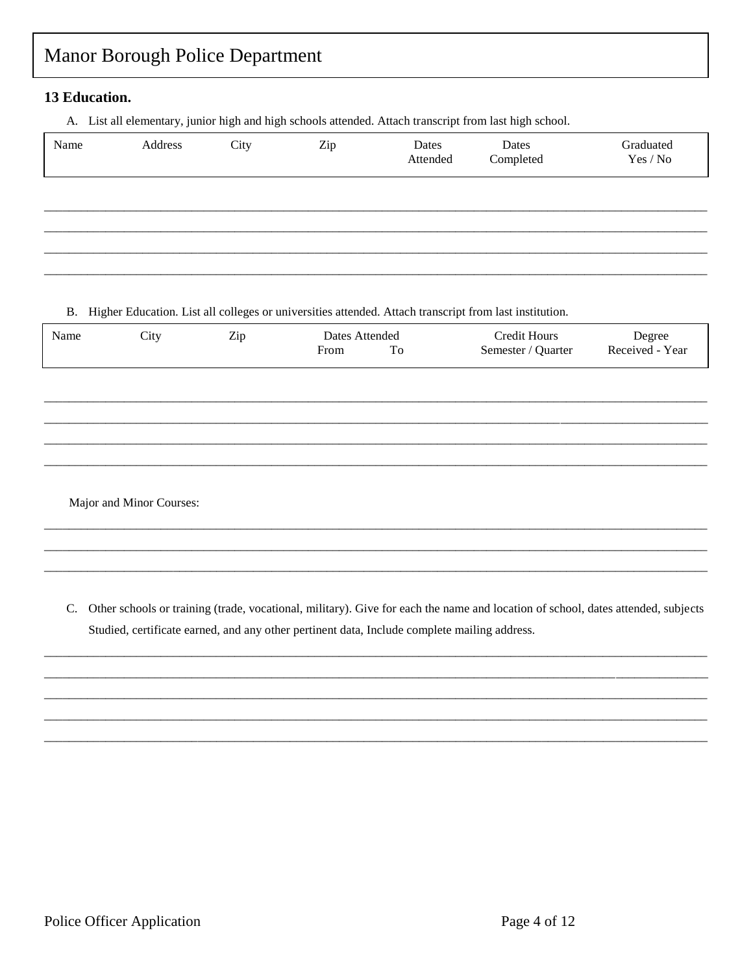### 13 Education.

A. List all elementary, junior high and high schools attended. Attach transcript from last high school.

| Name | Address | City | Zip | Dates<br>Attended | Dates<br>Completed | Graduated<br>Yes / No |
|------|---------|------|-----|-------------------|--------------------|-----------------------|
|      |         |      |     |                   |                    |                       |
|      |         |      |     |                   |                    |                       |
|      |         |      |     |                   |                    |                       |
|      |         |      |     |                   |                    |                       |

#### B. Higher Education. List all colleges or universities attended. Attach transcript from last institution.

| Name | City                     | Zip | Dates Attended<br>To<br>From | <b>Credit Hours</b><br>Semester / Quarter | Degree<br>Received - Year |
|------|--------------------------|-----|------------------------------|-------------------------------------------|---------------------------|
|      |                          |     |                              |                                           |                           |
|      |                          |     |                              |                                           |                           |
|      |                          |     |                              |                                           |                           |
|      | Major and Minor Courses: |     |                              |                                           |                           |

C. Other schools or training (trade, vocational, military). Give for each the name and location of school, dates attended, subjects Studied, certificate earned, and any other pertinent data, Include complete mailing address.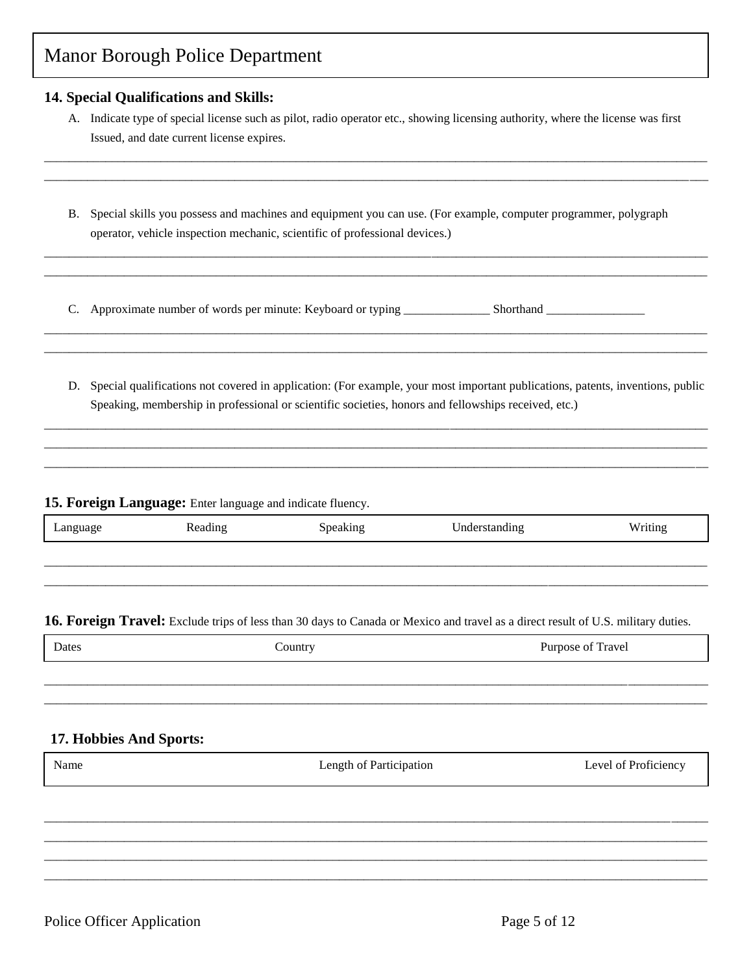### **14. Special Qualifications and Skills:**

A. Indicate type of special license such as pilot, radio operator etc., showing licensing authority, where the license was first Issued, and date current license expires.

\_\_\_\_\_\_\_\_\_\_\_\_\_\_\_\_\_\_\_\_\_\_\_\_\_\_\_\_\_\_\_\_\_\_\_\_\_\_\_\_\_\_\_\_\_\_\_\_\_\_\_\_\_\_\_\_\_\_\_\_\_\_\_\_\_\_\_\_\_\_\_\_\_\_\_\_\_\_\_\_\_\_\_\_\_\_\_\_\_\_\_\_\_\_\_\_\_\_\_\_\_\_\_\_\_\_\_\_ \_\_\_\_\_\_\_\_\_\_\_\_\_\_\_\_\_\_\_\_\_\_\_\_\_\_\_\_\_\_\_\_\_\_\_\_\_\_\_\_\_\_\_\_\_\_\_\_\_\_\_\_\_\_\_\_\_\_\_\_\_\_\_\_\_\_\_\_\_\_\_\_\_\_\_\_\_\_\_\_\_\_\_\_\_\_\_\_\_\_\_\_\_\_\_\_\_\_\_\_\_\_\_\_\_\_\_\_

B. Special skills you possess and machines and equipment you can use. (For example, computer programmer, polygraph operator, vehicle inspection mechanic, scientific of professional devices.)

\_\_\_\_\_\_\_\_\_\_\_\_\_\_\_\_\_\_\_\_\_\_\_\_\_\_\_\_\_\_\_\_\_\_\_\_\_\_\_\_\_\_\_\_\_\_\_\_\_\_\_\_\_\_\_\_\_\_\_\_\_\_\_\_\_\_\_\_\_\_\_\_\_\_\_\_\_\_\_\_\_\_\_\_\_\_\_\_\_\_\_\_\_\_\_\_\_\_\_\_\_\_\_\_\_\_\_\_ \_\_\_\_\_\_\_\_\_\_\_\_\_\_\_\_\_\_\_\_\_\_\_\_\_\_\_\_\_\_\_\_\_\_\_\_\_\_\_\_\_\_\_\_\_\_\_\_\_\_\_\_\_\_\_\_\_\_\_\_\_\_\_\_\_\_\_\_\_\_\_\_\_\_\_\_\_\_\_\_\_\_\_\_\_\_\_\_\_\_\_\_\_\_\_\_\_\_\_\_\_\_\_\_\_\_\_\_

\_\_\_\_\_\_\_\_\_\_\_\_\_\_\_\_\_\_\_\_\_\_\_\_\_\_\_\_\_\_\_\_\_\_\_\_\_\_\_\_\_\_\_\_\_\_\_\_\_\_\_\_\_\_\_\_\_\_\_\_\_\_\_\_\_\_\_\_\_\_\_\_\_\_\_\_\_\_\_\_\_\_\_\_\_\_\_\_\_\_\_\_\_\_\_\_\_\_\_\_\_\_\_\_\_\_\_\_ \_\_\_\_\_\_\_\_\_\_\_\_\_\_\_\_\_\_\_\_\_\_\_\_\_\_\_\_\_\_\_\_\_\_\_\_\_\_\_\_\_\_\_\_\_\_\_\_\_\_\_\_\_\_\_\_\_\_\_\_\_\_\_\_\_\_\_\_\_\_\_\_\_\_\_\_\_\_\_\_\_\_\_\_\_\_\_\_\_\_\_\_\_\_\_\_\_\_\_\_\_\_\_\_\_\_\_\_

C. Approximate number of words per minute: Keyboard or typing \_\_\_\_\_\_\_\_\_\_\_\_\_\_\_\_\_\_ Shorthand \_\_\_\_\_\_\_\_\_\_\_\_\_\_\_\_\_\_\_

D. Special qualifications not covered in application: (For example, your most important publications, patents, inventions, public Speaking, membership in professional or scientific societies, honors and fellowships received, etc.)

\_\_\_\_\_\_\_\_\_\_\_\_\_\_\_\_\_\_\_\_\_\_\_\_\_\_\_\_\_\_\_\_\_\_\_\_\_\_\_\_\_\_\_\_\_\_\_\_\_\_\_\_\_\_\_\_\_\_\_\_\_\_\_\_\_\_\_\_\_\_\_\_\_\_\_\_\_\_\_\_\_\_\_\_\_\_\_\_\_\_\_\_\_\_\_\_\_\_\_\_\_\_\_\_\_\_\_\_ \_\_\_\_\_\_\_\_\_\_\_\_\_\_\_\_\_\_\_\_\_\_\_\_\_\_\_\_\_\_\_\_\_\_\_\_\_\_\_\_\_\_\_\_\_\_\_\_\_\_\_\_\_\_\_\_\_\_\_\_\_\_\_\_\_\_\_\_\_\_\_\_\_\_\_\_\_\_\_\_\_\_\_\_\_\_\_\_\_\_\_\_\_\_\_\_\_\_\_\_\_\_\_\_\_\_\_\_ \_\_\_\_\_\_\_\_\_\_\_\_\_\_\_\_\_\_\_\_\_\_\_\_\_\_\_\_\_\_\_\_\_\_\_\_\_\_\_\_\_\_\_\_\_\_\_\_\_\_\_\_\_\_\_\_\_\_\_\_\_\_\_\_\_\_\_\_\_\_\_\_\_\_\_\_\_\_\_\_\_\_\_\_\_\_\_\_\_\_\_\_\_\_\_\_\_\_\_\_\_\_\_\_\_\_\_\_

#### **15. Foreign Language:** Enter language and indicate fluency.

| Language | Reading | Speaking | Understanding<br>~ | Writing<br>ັ |
|----------|---------|----------|--------------------|--------------|
|          |         |          |                    |              |

\_\_\_\_\_\_\_\_\_\_\_\_\_\_\_\_\_\_\_\_\_\_\_\_\_\_\_\_\_\_\_\_\_\_\_\_\_\_\_\_\_\_\_\_\_\_\_\_\_\_\_\_\_\_\_\_\_\_\_\_\_\_\_\_\_\_\_\_\_\_\_\_\_\_\_\_\_\_\_\_\_\_\_\_\_\_\_\_\_\_\_\_\_\_\_\_\_\_\_\_\_\_\_\_\_\_\_\_

### **16. Foreign Travel:** Exclude trips of less than 30 days to Canada or Mexico and travel as a direct result of U.S. military duties.

| Dates | ∠ountry | Fravel<br>Purnose<br>nt. |
|-------|---------|--------------------------|
|       |         |                          |

\_\_\_\_\_\_\_\_\_\_\_\_\_\_\_\_\_\_\_\_\_\_\_\_\_\_\_\_\_\_\_\_\_\_\_\_\_\_\_\_\_\_\_\_\_\_\_\_\_\_\_\_\_\_\_\_\_\_\_\_\_\_\_\_\_\_\_\_\_\_\_\_\_\_\_\_\_\_\_\_\_\_\_\_\_\_\_\_\_\_\_\_\_\_\_\_\_\_\_\_\_\_\_\_\_\_\_\_ \_\_\_\_\_\_\_\_\_\_\_\_\_\_\_\_\_\_\_\_\_\_\_\_\_\_\_\_\_\_\_\_\_\_\_\_\_\_\_\_\_\_\_\_\_\_\_\_\_\_\_\_\_\_\_\_\_\_\_\_\_\_\_\_\_\_\_\_\_\_\_\_\_\_\_\_\_\_\_\_\_\_\_\_\_\_\_\_\_\_\_\_\_\_\_\_\_\_\_\_\_\_\_\_\_\_\_\_

### **17. Hobbies And Sports:**

| Name | Length of Participation | Level of Proficiency |
|------|-------------------------|----------------------|
|      |                         |                      |
|      |                         |                      |
|      |                         |                      |

\_\_\_\_\_\_\_\_\_\_\_\_\_\_\_\_\_\_\_\_\_\_\_\_\_\_\_\_\_\_\_\_\_\_\_\_\_\_\_\_\_\_\_\_\_\_\_\_\_\_\_\_\_\_\_\_\_\_\_\_\_\_\_\_\_\_\_\_\_\_\_\_\_\_\_\_\_\_\_\_\_\_\_\_\_\_\_\_\_\_\_\_\_\_\_\_\_\_\_\_\_\_\_\_\_\_\_\_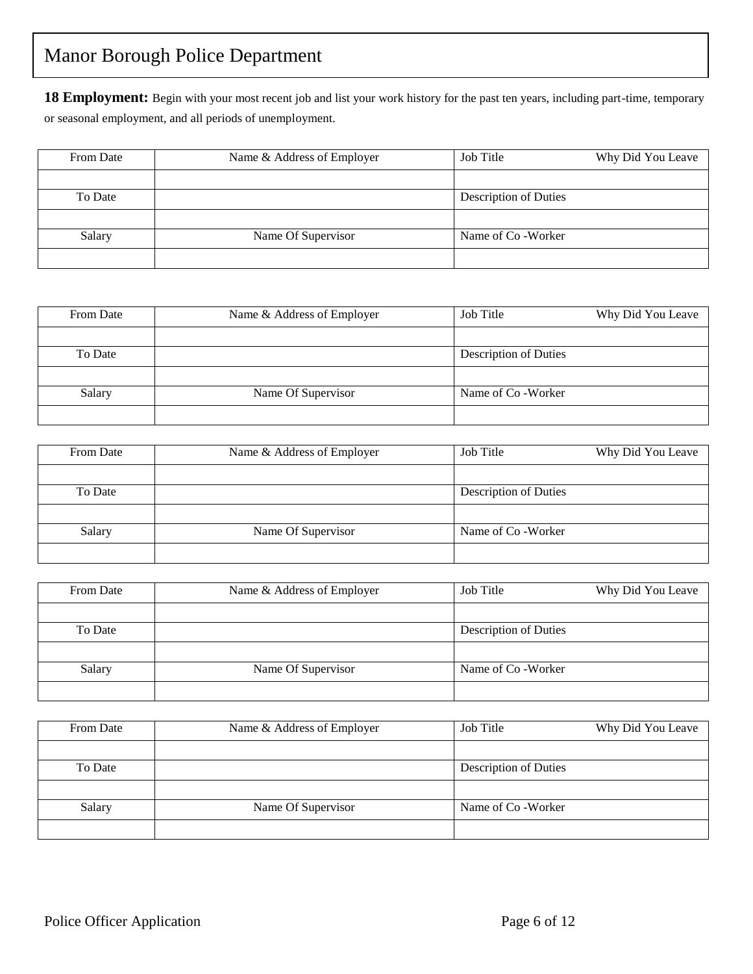18 Employment: Begin with your most recent job and list your work history for the past ten years, including part-time, temporary or seasonal employment, and all periods of unemployment.

| From Date | Name & Address of Employer | Job Title             | Why Did You Leave |
|-----------|----------------------------|-----------------------|-------------------|
|           |                            |                       |                   |
| To Date   |                            | Description of Duties |                   |
|           |                            |                       |                   |
| Salary    | Name Of Supervisor         | Name of Co - Worker   |                   |
|           |                            |                       |                   |

| From Date | Name & Address of Employer | Job Title             | Why Did You Leave |
|-----------|----------------------------|-----------------------|-------------------|
|           |                            |                       |                   |
| To Date   |                            | Description of Duties |                   |
|           |                            |                       |                   |
| Salary    | Name Of Supervisor         | Name of Co - Worker   |                   |
|           |                            |                       |                   |

| From Date | Name & Address of Employer | Job Title             | Why Did You Leave |
|-----------|----------------------------|-----------------------|-------------------|
|           |                            |                       |                   |
| To Date   |                            | Description of Duties |                   |
|           |                            |                       |                   |
| Salary    | Name Of Supervisor         | Name of Co - Worker   |                   |
|           |                            |                       |                   |

| From Date | Name & Address of Employer | Job Title                    | Why Did You Leave |
|-----------|----------------------------|------------------------------|-------------------|
|           |                            |                              |                   |
| To Date   |                            | <b>Description of Duties</b> |                   |
|           |                            |                              |                   |
| Salary    | Name Of Supervisor         | Name of Co - Worker          |                   |
|           |                            |                              |                   |

| From Date | Name & Address of Employer | Job Title                    | Why Did You Leave |
|-----------|----------------------------|------------------------------|-------------------|
|           |                            |                              |                   |
| To Date   |                            | <b>Description of Duties</b> |                   |
|           |                            |                              |                   |
| Salary    | Name Of Supervisor         | Name of Co - Worker          |                   |
|           |                            |                              |                   |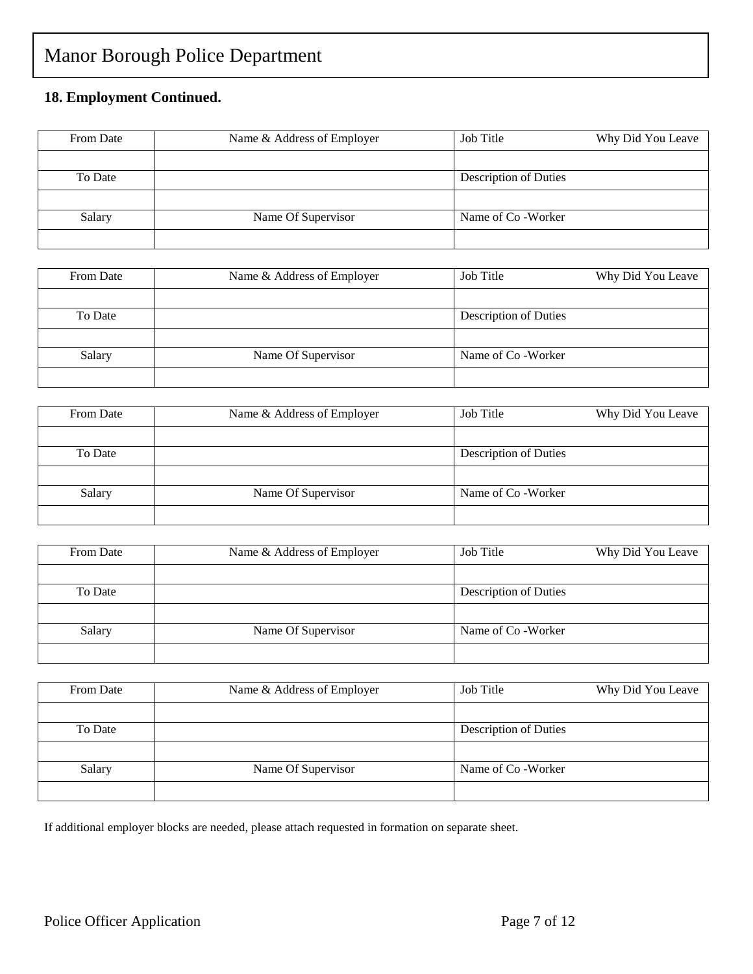### **18. Employment Continued.**

| From Date | Name & Address of Employer | Job Title             | Why Did You Leave |
|-----------|----------------------------|-----------------------|-------------------|
|           |                            |                       |                   |
| To Date   |                            | Description of Duties |                   |
|           |                            |                       |                   |
| Salary    | Name Of Supervisor         | Name of Co - Worker   |                   |
|           |                            |                       |                   |

| From Date | Name & Address of Employer | Job Title<br>Why Did You Leave |  |
|-----------|----------------------------|--------------------------------|--|
|           |                            |                                |  |
| To Date   |                            | <b>Description of Duties</b>   |  |
|           |                            |                                |  |
| Salary    | Name Of Supervisor         | Name of Co - Worker            |  |
|           |                            |                                |  |

| From Date | Name & Address of Employer | Job Title             | Why Did You Leave |
|-----------|----------------------------|-----------------------|-------------------|
|           |                            |                       |                   |
| To Date   |                            | Description of Duties |                   |
|           |                            |                       |                   |
| Salary    | Name Of Supervisor         | Name of Co - Worker   |                   |
|           |                            |                       |                   |

| From Date | Name & Address of Employer | Job Title             | Why Did You Leave |
|-----------|----------------------------|-----------------------|-------------------|
|           |                            |                       |                   |
| To Date   |                            | Description of Duties |                   |
|           |                            |                       |                   |
| Salary    | Name Of Supervisor         | Name of Co - Worker   |                   |
|           |                            |                       |                   |

| From Date | Name & Address of Employer | Job Title             | Why Did You Leave |
|-----------|----------------------------|-----------------------|-------------------|
|           |                            |                       |                   |
| To Date   |                            | Description of Duties |                   |
|           |                            |                       |                   |
| Salary    | Name Of Supervisor         | Name of Co - Worker   |                   |
|           |                            |                       |                   |

If additional employer blocks are needed, please attach requested in formation on separate sheet.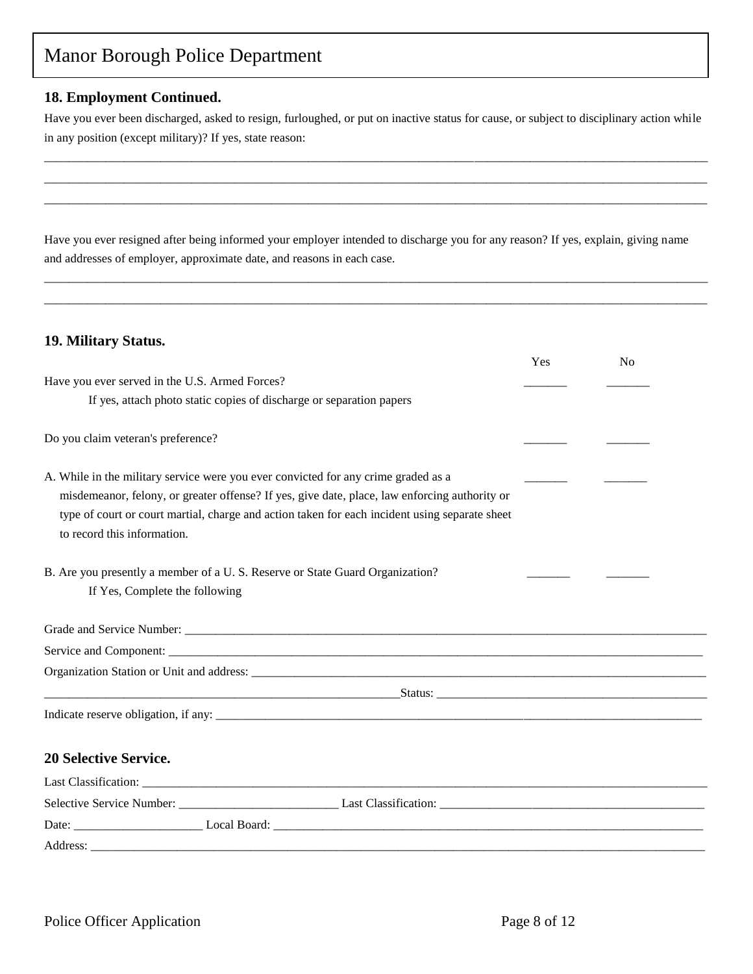### **18. Employment Continued.**

Have you ever been discharged, asked to resign, furloughed, or put on inactive status for cause, or subject to disciplinary action while in any position (except military)? If yes, state reason:

\_\_\_\_\_\_\_\_\_\_\_\_\_\_\_\_\_\_\_\_\_\_\_\_\_\_\_\_\_\_\_\_\_\_\_\_\_\_\_\_\_\_\_\_\_\_\_\_\_\_\_\_\_\_\_\_\_\_\_\_\_\_\_\_\_\_\_\_\_\_\_\_\_\_\_\_\_\_\_\_\_\_\_\_\_\_\_\_\_\_\_\_\_\_\_\_\_\_\_\_\_\_\_\_\_\_\_\_ \_\_\_\_\_\_\_\_\_\_\_\_\_\_\_\_\_\_\_\_\_\_\_\_\_\_\_\_\_\_\_\_\_\_\_\_\_\_\_\_\_\_\_\_\_\_\_\_\_\_\_\_\_\_\_\_\_\_\_\_\_\_\_\_\_\_\_\_\_\_\_\_\_\_\_\_\_\_\_\_\_\_\_\_\_\_\_\_\_\_\_\_\_\_\_\_\_\_\_\_\_\_\_\_\_\_\_\_ \_\_\_\_\_\_\_\_\_\_\_\_\_\_\_\_\_\_\_\_\_\_\_\_\_\_\_\_\_\_\_\_\_\_\_\_\_\_\_\_\_\_\_\_\_\_\_\_\_\_\_\_\_\_\_\_\_\_\_\_\_\_\_\_\_\_\_\_\_\_\_\_\_\_\_\_\_\_\_\_\_\_\_\_\_\_\_\_\_\_\_\_\_\_\_\_\_\_\_\_\_\_\_\_\_\_\_\_

Have you ever resigned after being informed your employer intended to discharge you for any reason? If yes, explain, giving name and addresses of employer, approximate date, and reasons in each case.

\_\_\_\_\_\_\_\_\_\_\_\_\_\_\_\_\_\_\_\_\_\_\_\_\_\_\_\_\_\_\_\_\_\_\_\_\_\_\_\_\_\_\_\_\_\_\_\_\_\_\_\_\_\_\_\_\_\_\_\_\_\_\_\_\_\_\_\_\_\_\_\_\_\_\_\_\_\_\_\_\_\_\_\_\_\_\_\_\_\_\_\_\_\_\_\_\_\_\_\_\_\_\_\_\_\_\_\_ \_\_\_\_\_\_\_\_\_\_\_\_\_\_\_\_\_\_\_\_\_\_\_\_\_\_\_\_\_\_\_\_\_\_\_\_\_\_\_\_\_\_\_\_\_\_\_\_\_\_\_\_\_\_\_\_\_\_\_\_\_\_\_\_\_\_\_\_\_\_\_\_\_\_\_\_\_\_\_\_\_\_\_\_\_\_\_\_\_\_\_\_\_\_\_\_\_\_\_\_\_\_\_\_\_\_\_\_

### **19. Military Status.**

|                                                                                                | Yes | N <sub>0</sub> |
|------------------------------------------------------------------------------------------------|-----|----------------|
| Have you ever served in the U.S. Armed Forces?                                                 |     |                |
| If yes, attach photo static copies of discharge or separation papers                           |     |                |
| Do you claim veteran's preference?                                                             |     |                |
| A. While in the military service were you ever convicted for any crime graded as a             |     |                |
| misdemeanor, felony, or greater offense? If yes, give date, place, law enforcing authority or  |     |                |
| type of court or court martial, charge and action taken for each incident using separate sheet |     |                |
| to record this information.                                                                    |     |                |
| B. Are you presently a member of a U. S. Reserve or State Guard Organization?                  |     |                |
| If Yes, Complete the following                                                                 |     |                |
|                                                                                                |     |                |
|                                                                                                |     |                |
|                                                                                                |     |                |
|                                                                                                |     |                |
|                                                                                                |     |                |
|                                                                                                |     |                |
| <b>20 Selective Service.</b>                                                                   |     |                |
|                                                                                                |     |                |
|                                                                                                |     |                |
|                                                                                                |     |                |
|                                                                                                |     |                |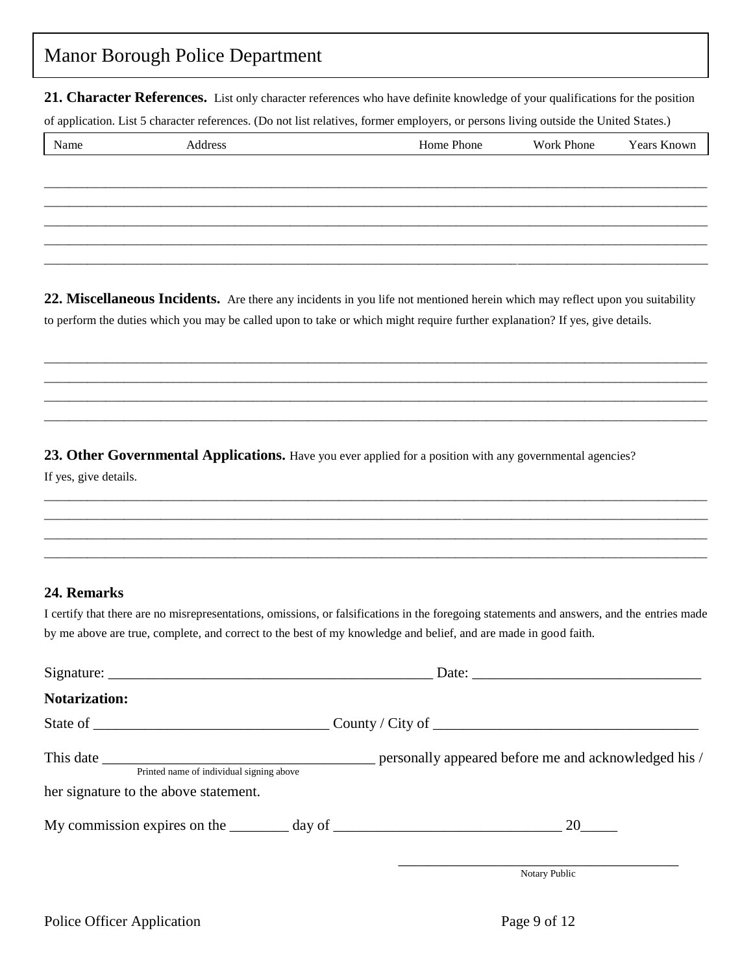**21. Character References.** List only character references who have definite knowledge of your qualifications for the position

of application. List 5 character references. (Do not list relatives, former employers, or persons living outside the United States.)

| Name | Address | Home Phone | Work Phone | Years Known |
|------|---------|------------|------------|-------------|
|      |         |            |            |             |
|      |         |            |            |             |
|      |         |            |            |             |
|      |         |            |            |             |
|      |         |            |            |             |

**22. Miscellaneous Incidents.** Are there any incidents in you life not mentioned herein which may reflect upon you suitability to perform the duties which you may be called upon to take or which might require further explanation? If yes, give details.

\_\_\_\_\_\_\_\_\_\_\_\_\_\_\_\_\_\_\_\_\_\_\_\_\_\_\_\_\_\_\_\_\_\_\_\_\_\_\_\_\_\_\_\_\_\_\_\_\_\_\_\_\_\_\_\_\_\_\_\_\_\_\_\_\_\_\_\_\_\_\_\_\_\_\_\_\_\_\_\_\_\_\_\_\_\_\_\_\_\_\_\_\_\_\_\_\_\_\_\_\_\_\_\_\_\_\_\_ \_\_\_\_\_\_\_\_\_\_\_\_\_\_\_\_\_\_\_\_\_\_\_\_\_\_\_\_\_\_\_\_\_\_\_\_\_\_\_\_\_\_\_\_\_\_\_\_\_\_\_\_\_\_\_\_\_\_\_\_\_\_\_\_\_\_\_\_\_\_\_\_\_\_\_\_\_\_\_\_\_\_\_\_\_\_\_\_\_\_\_\_\_\_\_\_\_\_\_\_\_\_\_\_\_\_\_\_ \_\_\_\_\_\_\_\_\_\_\_\_\_\_\_\_\_\_\_\_\_\_\_\_\_\_\_\_\_\_\_\_\_\_\_\_\_\_\_\_\_\_\_\_\_\_\_\_\_\_\_\_\_\_\_\_\_\_\_\_\_\_\_\_\_\_\_\_\_\_\_\_\_\_\_\_\_\_\_\_\_\_\_\_\_\_\_\_\_\_\_\_\_\_\_\_\_\_\_\_\_\_\_\_\_\_\_\_ \_\_\_\_\_\_\_\_\_\_\_\_\_\_\_\_\_\_\_\_\_\_\_\_\_\_\_\_\_\_\_\_\_\_\_\_\_\_\_\_\_\_\_\_\_\_\_\_\_\_\_\_\_\_\_\_\_\_\_\_\_\_\_\_\_\_\_\_\_\_\_\_\_\_\_\_\_\_\_\_\_\_\_\_\_\_\_\_\_\_\_\_\_\_\_\_\_\_\_\_\_\_\_\_\_\_\_\_

23. Other Governmental Applications. Have you ever applied for a position with any governmental agencies? If yes, give details.

### **24. Remarks**

I certify that there are no misrepresentations, omissions, or falsifications in the foregoing statements and answers, and the entries made by me above are true, complete, and correct to the best of my knowledge and belief, and are made in good faith.

\_\_\_\_\_\_\_\_\_\_\_\_\_\_\_\_\_\_\_\_\_\_\_\_\_\_\_\_\_\_\_\_\_\_\_\_\_\_\_\_\_\_\_\_\_\_\_\_\_\_\_\_\_\_\_\_\_\_\_\_\_\_\_\_\_\_\_\_\_\_\_\_\_\_\_\_\_\_\_\_\_\_\_\_\_\_\_\_\_\_\_\_\_\_\_\_\_\_\_\_\_\_\_\_\_\_\_\_ \_\_\_\_\_\_\_\_\_\_\_\_\_\_\_\_\_\_\_\_\_\_\_\_\_\_\_\_\_\_\_\_\_\_\_\_\_\_\_\_\_\_\_\_\_\_\_\_\_\_\_\_\_\_\_\_\_\_\_\_\_\_\_\_\_\_\_\_\_\_\_\_\_\_\_\_\_\_\_\_\_\_\_\_\_\_\_\_\_\_\_\_\_\_\_\_\_\_\_\_\_\_\_\_\_\_\_\_ \_\_\_\_\_\_\_\_\_\_\_\_\_\_\_\_\_\_\_\_\_\_\_\_\_\_\_\_\_\_\_\_\_\_\_\_\_\_\_\_\_\_\_\_\_\_\_\_\_\_\_\_\_\_\_\_\_\_\_\_\_\_\_\_\_\_\_\_\_\_\_\_\_\_\_\_\_\_\_\_\_\_\_\_\_\_\_\_\_\_\_\_\_\_\_\_\_\_\_\_\_\_\_\_\_\_\_\_ \_\_\_\_\_\_\_\_\_\_\_\_\_\_\_\_\_\_\_\_\_\_\_\_\_\_\_\_\_\_\_\_\_\_\_\_\_\_\_\_\_\_\_\_\_\_\_\_\_\_\_\_\_\_\_\_\_\_\_\_\_\_\_\_\_\_\_\_\_\_\_\_\_\_\_\_\_\_\_\_\_\_\_\_\_\_\_\_\_\_\_\_\_\_\_\_\_\_\_\_\_\_\_\_\_\_\_\_

|                                                                                                                                                                                                                               | Date: $\frac{1}{\sqrt{1-\frac{1}{2}}\sqrt{1-\frac{1}{2}}\sqrt{1-\frac{1}{2}}\sqrt{1-\frac{1}{2}}\sqrt{1-\frac{1}{2}}\sqrt{1-\frac{1}{2}}\sqrt{1-\frac{1}{2}}\sqrt{1-\frac{1}{2}}\sqrt{1-\frac{1}{2}}\sqrt{1-\frac{1}{2}}\sqrt{1-\frac{1}{2}}\sqrt{1-\frac{1}{2}}\sqrt{1-\frac{1}{2}}\sqrt{1-\frac{1}{2}}\sqrt{1-\frac{1}{2}}\sqrt{1-\frac{1}{2}}\sqrt{1-\frac{1}{2}}\sqrt{1-\frac{1}{2}}\sqrt{1-\frac{1}{2}}$ |
|-------------------------------------------------------------------------------------------------------------------------------------------------------------------------------------------------------------------------------|---------------------------------------------------------------------------------------------------------------------------------------------------------------------------------------------------------------------------------------------------------------------------------------------------------------------------------------------------------------------------------------------------------------|
| <b>Notarization:</b>                                                                                                                                                                                                          |                                                                                                                                                                                                                                                                                                                                                                                                               |
| State of State of State of State of State of State of State of State of State of State of State of State of State of State of State of State of State of State of State of State of State of State of State of State of State | $\text{Country } / \text{City of }$                                                                                                                                                                                                                                                                                                                                                                           |
| Printed name of individual signing above                                                                                                                                                                                      |                                                                                                                                                                                                                                                                                                                                                                                                               |
| her signature to the above statement.                                                                                                                                                                                         |                                                                                                                                                                                                                                                                                                                                                                                                               |
|                                                                                                                                                                                                                               | My commission expires on the $\_\_\_\_$ day of $\_\_\_\_\_\_\_\_$ and $\_\_\_\_\_\_\_$ 20 $\_\_\_\_\_$                                                                                                                                                                                                                                                                                                        |
|                                                                                                                                                                                                                               |                                                                                                                                                                                                                                                                                                                                                                                                               |

Notary Public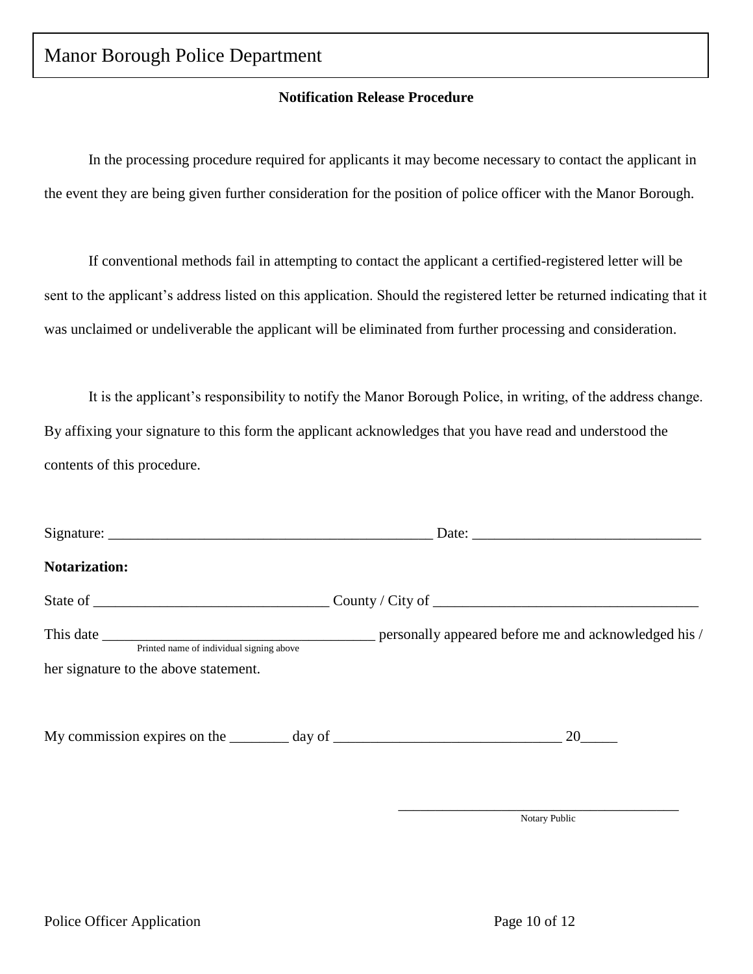### **Notification Release Procedure**

In the processing procedure required for applicants it may become necessary to contact the applicant in the event they are being given further consideration for the position of police officer with the Manor Borough.

If conventional methods fail in attempting to contact the applicant a certified-registered letter will be sent to the applicant's address listed on this application. Should the registered letter be returned indicating that it was unclaimed or undeliverable the applicant will be eliminated from further processing and consideration.

It is the applicant's responsibility to notify the Manor Borough Police, in writing, of the address change. By affixing your signature to this form the applicant acknowledges that you have read and understood the contents of this procedure.

| <b>Notarization:</b>                     |                                                                 |
|------------------------------------------|-----------------------------------------------------------------|
|                                          |                                                                 |
| Printed name of individual signing above |                                                                 |
| her signature to the above statement.    |                                                                 |
|                                          | My commission expires on the $\_\_\_\_$ day of $\_\_\_\_\_\_\_$ |
|                                          |                                                                 |

\_\_\_\_\_\_\_\_\_\_\_\_\_\_\_\_\_\_\_\_\_\_\_\_\_\_\_\_\_\_\_\_\_\_\_\_\_\_ Notary Public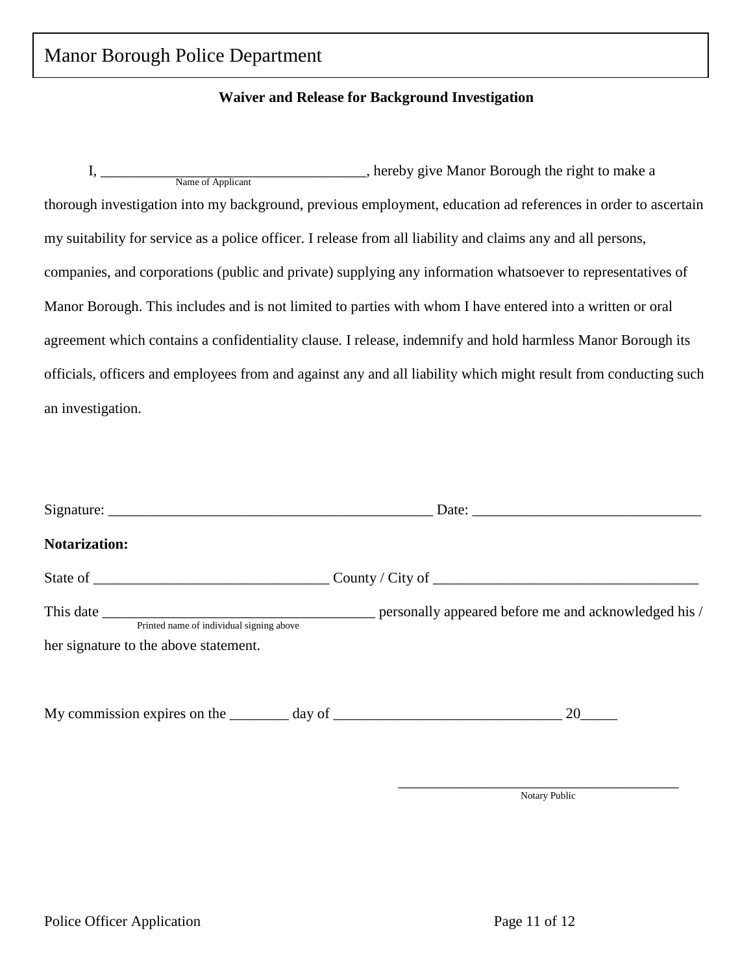### **Waiver and Release for Background Investigation**

I, hereby give Manor Borough the right to make a thorough investigation into my background, previous employment, education ad references in order to ascertain my suitability for service as a police officer. I release from all liability and claims any and all persons, companies, and corporations (public and private) supplying any information whatsoever to representatives of Manor Borough. This includes and is not limited to parties with whom I have entered into a written or oral agreement which contains a confidentiality clause. I release, indemnify and hold harmless Manor Borough its officials, officers and employees from and against any and all liability which might result from conducting such an investigation. I, Name of Applicant

| <b>Notarization:</b>                     |                                                                                         |
|------------------------------------------|-----------------------------------------------------------------------------------------|
|                                          |                                                                                         |
| Printed name of individual signing above |                                                                                         |
| her signature to the above statement.    |                                                                                         |
|                                          | My commission expires on the $\_\_\_\_$ day of $\_\_\_\_\_\_\_$ and $\_\_\_\_\_\_\_$ 20 |

\_\_\_\_\_\_\_\_\_\_\_\_\_\_\_\_\_\_\_\_\_\_\_\_\_\_\_\_\_\_\_\_\_\_\_\_\_\_ Notary Public